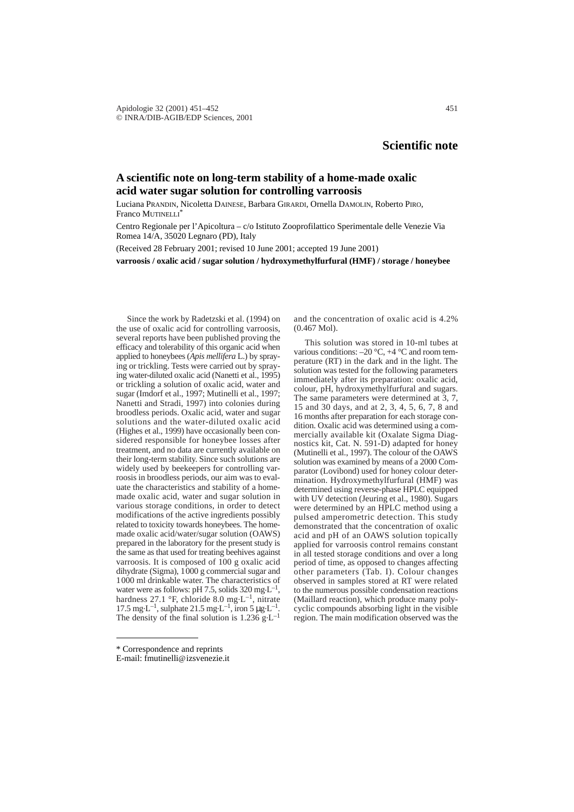## **Scientific note**

## **A scientific note on long-term stability of a home-made oxalic acid water sugar solution for controlling varroosis**

Luciana PRANDIN, Nicoletta DAINESE, Barbara GIRARDI, Ornella DAMOLIN, Roberto PIRO, Franco MUTINELLI<sup>\*</sup>

Centro Regionale per l'Apicoltura – c/o Istituto Zooprofilattico Sperimentale delle Venezie Via Romea 14/A, 35020 Legnaro (PD), Italy

(Received 28 February 2001; revised 10 June 2001; accepted 19 June 2001)

**varroosis / oxalic acid / sugar solution / hydroxymethylfurfural (HMF) / storage / honeybee**

Since the work by Radetzski et al. (1994) on the use of oxalic acid for controlling varroosis, several reports have been published proving the efficacy and tolerability of this organic acid when applied to honeybees (*Apis mellifera* L.) by spraying or trickling. Tests were carried out by spraying water-diluted oxalic acid (Nanetti et al., 1995) or trickling a solution of oxalic acid, water and sugar (Imdorf et al., 1997; Mutinelli et al., 1997; Nanetti and Stradi, 1997) into colonies during broodless periods. Oxalic acid, water and sugar solutions and the water-diluted oxalic acid (Highes et al., 1999) have occasionally been considered responsible for honeybee losses after treatment, and no data are currently available on their long-term stability. Since such solutions are widely used by beekeepers for controlling varroosis in broodless periods, our aim was to evaluate the characteristics and stability of a homemade oxalic acid, water and sugar solution in various storage conditions, in order to detect modifications of the active ingredients possibly related to toxicity towards honeybees. The homemade oxalic acid/water/sugar solution (OAWS) prepared in the laboratory for the present study is the same as that used for treating beehives against varroosis. It is composed of 100 g oxalic acid dihydrate (Sigma), 1000 g commercial sugar and 1000 ml drinkable water. The characteristics of water were as follows: pH 7.5, solids 320 mg $L^{-1}$ , hardness 27.1 °F, chloride 8.0 mg·L<sup>-1</sup>, nitrate 17.5 mg $L^{-1}$ , sulphate 21.5 mg $L^{-1}$ , iron 5 µg $L^{-1}$ . The density of the final solution is  $1.236 \text{ g} \cdot L^{-1}$  and the concentration of oxalic acid is 4.2% (0.467 Mol).

This solution was stored in 10-ml tubes at various conditions:  $-20$  °C,  $+4$  °C and room temperature (RT) in the dark and in the light. The solution was tested for the following parameters immediately after its preparation: oxalic acid, colour, pH, hydroxymethylfurfural and sugars. The same parameters were determined at 3, 7, 15 and 30 days, and at 2, 3, 4, 5, 6, 7, 8 and 16 months after preparation for each storage condition. Oxalic acid was determined using a commercially available kit (Oxalate Sigma Diagnostics kit, Cat. N. 591-D) adapted for honey (Mutinelli et al., 1997). The colour of the OAWS solution was examined by means of a 2000 Comparator (Lovibond) used for honey colour determination. Hydroxymethylfurfural (HMF) was determined using reverse-phase HPLC equipped with UV detection (Jeuring et al., 1980). Sugars were determined by an HPLC method using a pulsed amperometric detection. This study demonstrated that the concentration of oxalic acid and pH of an OAWS solution topically applied for varroosis control remains constant in all tested storage conditions and over a long period of time, as opposed to changes affecting other parameters (Tab. I). Colour changes observed in samples stored at RT were related to the numerous possible condensation reactions (Maillard reaction), which produce many polycyclic compounds absorbing light in the visible region. The main modification observed was the

<sup>\*</sup> Correspondence and reprints

E-mail: fmutinelli@izsvenezie.it